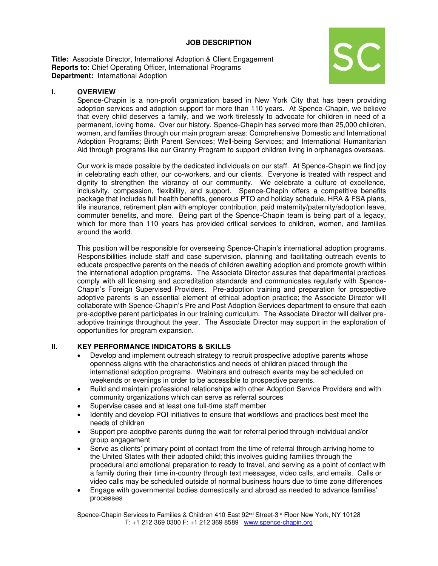### **JOB DESCRIPTION**

**Title:** Associate Director, International Adoption & Client Engagement **Reports to:** Chief Operating Officer, International Programs **Department: International Adoption** 



## **I. OVERVIEW**

Spence-Chapin is a non-profit organization based in New York City that has been providing adoption services and adoption support for more than 110 years. At Spence-Chapin, we believe that every child deserves a family, and we work tirelessly to advocate for children in need of a permanent, loving home. Over our history, Spence-Chapin has served more than 25,000 children, women, and families through our main program areas: Comprehensive Domestic and International Adoption Programs; Birth Parent Services; Well-being Services; and International Humanitarian Aid through programs like our Granny Program to support children living in orphanages overseas.

Our work is made possible by the dedicated individuals on our staff. At Spence-Chapin we find joy in celebrating each other, our co-workers, and our clients. Everyone is treated with respect and dignity to strengthen the vibrancy of our community. We celebrate a culture of excellence, inclusivity, compassion, flexibility, and support. Spence-Chapin offers a competitive benefits package that includes full health benefits, generous PTO and holiday schedule, HRA & FSA plans, life insurance, retirement plan with employer contribution, paid maternity/paternity/adoption leave, commuter benefits, and more. Being part of the Spence-Chapin team is being part of a legacy, which for more than 110 years has provided critical services to children, women, and families around the world.

This position will be responsible for overseeing Spence-Chapin's international adoption programs. Responsibilities include staff and case supervision, planning and facilitating outreach events to educate prospective parents on the needs of children awaiting adoption and promote growth within the international adoption programs. The Associate Director assures that departmental practices comply with all licensing and accreditation standards and communicates regularly with Spence-Chapin's Foreign Supervised Providers. Pre-adoption training and preparation for prospective adoptive parents is an essential element of ethical adoption practice; the Associate Director will collaborate with Spence-Chapin's Pre and Post Adoption Services department to ensure that each pre-adoptive parent participates in our training curriculum. The Associate Director will deliver preadoptive trainings throughout the year. The Associate Director may support in the exploration of opportunities for program expansion.

# **II. KEY PERFORMANCE INDICATORS & SKILLS**

- Develop and implement outreach strategy to recruit prospective adoptive parents whose openness aligns with the characteristics and needs of children placed through the international adoption programs. Webinars and outreach events may be scheduled on weekends or evenings in order to be accessible to prospective parents.
- Build and maintain professional relationships with other Adoption Service Providers and with community organizations which can serve as referral sources
- Supervise cases and at least one full-time staff member
- Identify and develop PQI initiatives to ensure that workflows and practices best meet the needs of children
- Support pre-adoptive parents during the wait for referral period through individual and/or group engagement
- Serve as clients' primary point of contact from the time of referral through arriving home to the United States with their adopted child; this involves guiding families through the procedural and emotional preparation to ready to travel, and serving as a point of contact with a family during their time in-country through text messages, video calls, and emails. Calls or video calls may be scheduled outside of normal business hours due to time zone differences
- Engage with governmental bodies domestically and abroad as needed to advance families' processes

Spence-Chapin Services to Families & Children 410 East 92<sup>nd</sup> Street-3<sup>rd</sup> Floor New York, NY 10128 T: +1 212 369 0300 F: +1 212 369 8589 [www.spence-chapin.org](http://www.spence-chapin.org/)